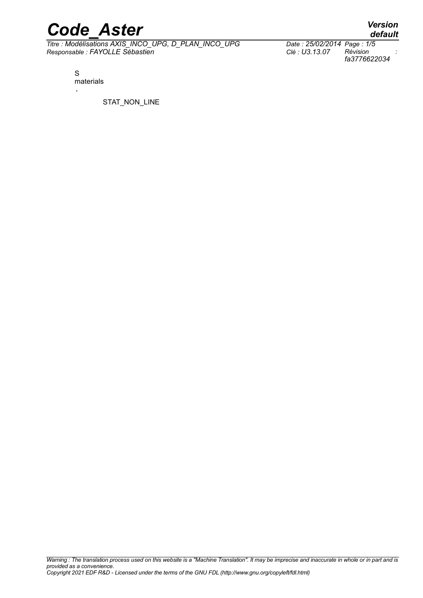*Titre : Modélisations AXIS\_INCO\_UPG, D\_PLAN\_INCO\_UPG Date : 25/02/2014 Page : 1/5 Responsable : FAYOLLE Sébastien Clé : U3.13.07 Révision :*

*default*

*fa3776622034*

S materials .

STAT\_NON\_LINE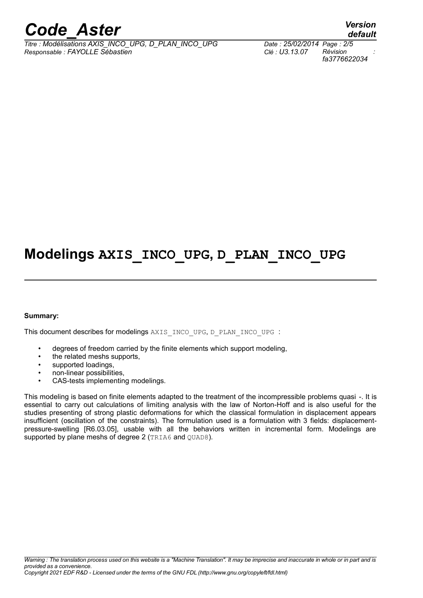*Titre : Modélisations AXIS\_INCO\_UPG, D\_PLAN\_INCO\_UPG Date : 25/02/2014 Page : 2/5 Responsable : FAYOLLE Sébastien Clé : U3.13.07 Révision :*

*fa3776622034*

*default*

## **Modelings AXIS\_INCO\_UPG, D\_PLAN\_INCO\_UPG**

#### **Summary:**

This document describes for modelings AXIS\_INCO\_UPG, D\_PLAN\_INCO\_UPG :

- degrees of freedom carried by the finite elements which support modeling,
- the related meshs supports.
- supported loadings,
- non-linear possibilities,
- CAS-tests implementing modelings.

This modeling is based on finite elements adapted to the treatment of the incompressible problems quasi -. It is essential to carry out calculations of limiting analysis with the law of Norton-Hoff and is also useful for the studies presenting of strong plastic deformations for which the classical formulation in displacement appears insufficient (oscillation of the constraints). The formulation used is a formulation with 3 fields: displacementpressure-swelling [R6.03.05], usable with all the behaviors written in incremental form. Modelings are supported by plane meshs of degree 2 (TRIA6 and QUAD8).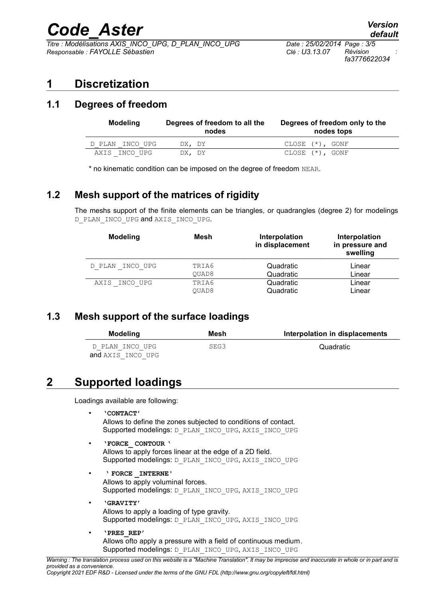*Titre : Modélisations AXIS\_INCO\_UPG, D\_PLAN\_INCO\_UPG Date : 25/02/2014 Page : 3/5 Responsable : FAYOLLE Sébastien Clé : U3.13.07 Révision :*

*fa3776622034*

## **1 Discretization**

### **1.1 Degrees of freedom**

| <b>Modeling</b> | Degrees of freedom to all the<br>nodes | Degrees of freedom only to the<br>nodes tops |
|-----------------|----------------------------------------|----------------------------------------------|
| D PLAN INCO UPG | DX, DY                                 | CLOSE (*), GONF                              |
| AXIS INCO UPG   | DX, DY                                 | $CLOSE (*)$ , GONF                           |

\* no kinematic condition can be imposed on the degree of freedom NEAR.

### **1.2 Mesh support of the matrices of rigidity**

The meshs support of the finite elements can be triangles, or quadrangles (degree 2) for modelings D\_PLAN\_INCO\_UPG and AXIS\_INCO\_UPG.

| <b>Modeling</b> | Mesh  | Interpolation<br>in displacement | Interpolation<br>in pressure and<br>swelling |
|-----------------|-------|----------------------------------|----------------------------------------------|
| D PLAN INCO UPG | TRIA6 | Quadratic                        | Linear                                       |
|                 | OUAD8 | Quadratic                        | Linear                                       |
| AXIS INCO UPG   | TRIA6 | Quadratic                        | Linear                                       |
|                 | OUAD8 | Quadratic                        | Linear                                       |

### **1.3 Mesh support of the surface loadings**

| Modeling          | Mesh | Interpolation in displacements |
|-------------------|------|--------------------------------|
| D PLAN INCO UPG   | SEG3 | Quadratic                      |
| and AXIS INCO UPG |      |                                |

## **2 Supported loadings**

Loadings available are following:

• **'CONTACT'**

Allows to define the zones subjected to conditions of contact. Supported modelings: D\_PLAN\_INCO\_UPG, AXIS\_INCO\_UPG

- **'FORCE\_ CONTOUR '** Allows to apply forces linear at the edge of a 2D field. Supported modelings: D\_PLAN\_INCO\_UPG, AXIS\_INCO\_UPG
- **' FORCE \_INTERNE'** Allows to apply voluminal forces. Supported modelings: D\_PLAN\_INCO\_UPG, AXIS\_INCO\_UPG
- **'GRAVITY'** Allows to apply a loading of type gravity. Supported modelings: D\_PLAN\_INCO\_UPG, AXIS\_INCO\_UPG
- **'PRES\_REP'** Allows ofto apply a pressure with a field of continuous medium. Supported modelings: D\_PLAN\_INCO\_UPG, AXIS\_INCO\_UPG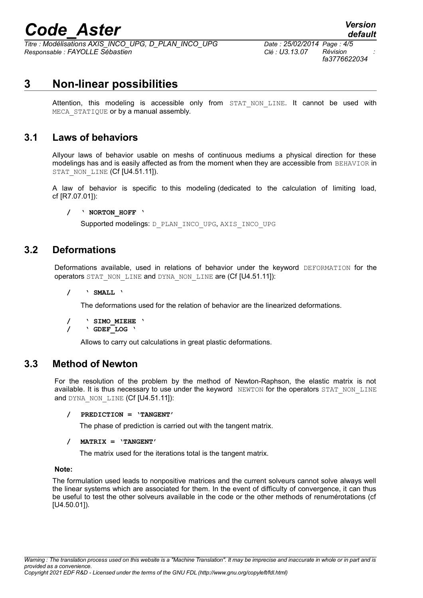*Titre : Modélisations AXIS\_INCO\_UPG, D\_PLAN\_INCO\_UPG Date : 25/02/2014 Page : 4/5 Responsable : FAYOLLE Sébastien Clé : U3.13.07 Révision :*

*fa3776622034*

*default*

## **3 Non-linear possibilities**

Attention, this modeling is accessible only from STAT NON LINE. It cannot be used with MECA STATIQUE or by a manual assembly.

#### **3.1 Laws of behaviors**

Allyour laws of behavior usable on meshs of continuous mediums a physical direction for these modelings has and is easily affected as from the moment when they are accessible from BEHAVIOR in STAT NON LINE (Cf [U4.51.11]).

A law of behavior is specific to this modeling (dedicated to the calculation of limiting load, cf [R7.07.01]):

#### **/ ' NORTON\_HOFF '**

Supported modelings: D\_PLAN\_INCO\_UPG, AXIS\_INCO\_UPG

#### **3.2 Deformations**

Deformations available, used in relations of behavior under the keyword DEFORMATION for the operators STAT\_NON\_LINE and DYNA\_NON\_LINE are (Cf [U4.51.11]):

**/ ' SMALL '**

The deformations used for the relation of behavior are the linearized deformations.

```
/ ' SIMO_MIEHE '
```
**/ ' GDEF\_LOG '**

Allows to carry out calculations in great plastic deformations.

#### **3.3 Method of Newton**

For the resolution of the problem by the method of Newton-Raphson, the elastic matrix is not available. It is thus necessary to use under the keyword NEWTON for the operators STAT\_NON\_LINE and DYNA\_NON\_LINE (Cf [U4.51.11]):

#### **/ PREDICTION = 'TANGENT'**

The phase of prediction is carried out with the tangent matrix.

#### **/ MATRIX = 'TANGENT'**

The matrix used for the iterations total is the tangent matrix.

#### **Note:**

The formulation used leads to nonpositive matrices and the current solveurs cannot solve always well the linear systems which are associated for them. In the event of difficulty of convergence, it can thus be useful to test the other solveurs available in the code or the other methods of renumérotations (cf [U4.50.01]).